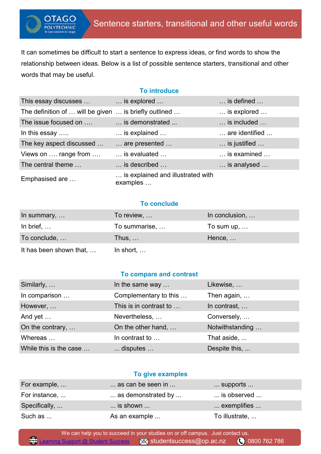It can sometimes be difficult to start a sentence to express ideas, or find words to show the relationship between ideas. Below is a list of possible sentence starters, transitional and other words that may be useful.

OTAGO **OLYTECHNIC** 

# **To introduce**

| This essay discusses                                  | $\ldots$ is explored $\ldots$                 | $\ldots$ is defined $\ldots$  |
|-------------------------------------------------------|-----------------------------------------------|-------------------------------|
| The definition of  will be given  is briefly outlined |                                               | $\ldots$ is explored $\ldots$ |
| The issue focused on                                  | is demonstrated                               | is included                   |
| In this essay                                         | $\ldots$ is explained $\ldots$                | are identified                |
| The key aspect discussed                              | are presented                                 | is justified                  |
| Views on  range from                                  | is evaluated                                  | is examined                   |
| The central theme                                     | is described                                  | is analysed                   |
| Emphasised are                                        | is explained and illustrated with<br>examples |                               |

# **To conclude**

| In summary, $\dots$     | To review,         | In conclusion,     |
|-------------------------|--------------------|--------------------|
| In brief, $\dots$       | To summarise,      | To sum up, $\dots$ |
| To conclude,            | Thus, $\dots$      | Hence, $\dots$     |
| It has been shown that, | In short, $\ldots$ |                    |

## **To compare and contrast**

| Similarly,             | In the same way        | Likewise,       |
|------------------------|------------------------|-----------------|
| In comparison          | Complementary to this  | Then again,     |
| However,               | This is in contrast to | In contrast,    |
| And yet                | Nevertheless,          | Conversely,     |
| On the contrary,       | On the other hand,     | Notwithstanding |
| Whereas                | In contrast to         | That aside,     |
| While this is the case | disputes               | Despite this,   |

#### **To give examples**

| For example,  | as can be seen in        | $\ldots$ supports $\ldots$ |
|---------------|--------------------------|----------------------------|
| For instance, | as demonstrated by       | is observed                |
| Specifically, | $\dots$ is shown $\dots$ | exemplifies                |
| Such as       | As an example            | To illustrate,             |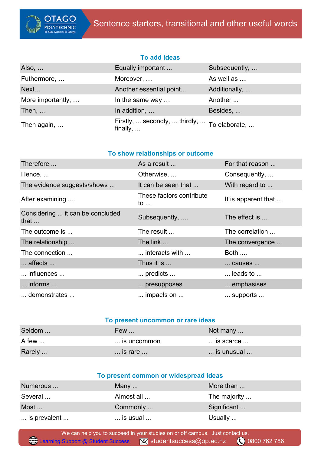

## **To add ideas**

| Also, $\dots$     | Equally important                                                | Subsequently, |
|-------------------|------------------------------------------------------------------|---------------|
| Futhermore,       | Moreover,                                                        | As well as    |
| Next              | Another essential point                                          | Additionally, |
| More importantly, | In the same way                                                  | Another       |
| Then, $\dots$     | In addition,                                                     | Besides,      |
| Then again,       | Firstly,  secondly,  thirdly,  To elaborate,<br>finally, $\dots$ |               |

## **To show relationships or outcome**

| Therefore                                        | As a result                             | For that reason            |
|--------------------------------------------------|-----------------------------------------|----------------------------|
| Hence,                                           | Otherwise,                              | Consequently,              |
| The evidence suggests/shows                      | It can be seen that                     | With regard to             |
| After examining                                  | These factors contribute<br>to $\ldots$ | It is apparent that        |
| Considering  it can be concluded<br>that $\dots$ | Subsequently,                           | The effect is              |
| The outcome is                                   | The result                              | The correlation            |
| The relationship                                 | The link                                | The convergence            |
| The connection                                   | interacts with                          | <b>Both</b>                |
| affects                                          | Thus it is                              | causes                     |
| $\dots$ influences $\dots$                       | predicts                                | $\ldots$ leads to $\ldots$ |
| $\ldots$ informs $\ldots$                        | presupposes                             | emphasises                 |
| demonstrates                                     | $\ldots$ impacts on $\ldots$            | supports                   |

## **To present uncommon or rare ideas**

| Seldom | Few                       | Not many $\dots$ |
|--------|---------------------------|------------------|
| A few  | is uncommon               | is scarce        |
| Rarely | $\ldots$ is rare $\ldots$ | is unusual       |

| To present common or widespread ideas |                            |              |
|---------------------------------------|----------------------------|--------------|
| Numerous                              | Many $\ldots$              | More than    |
| Several                               | Almost all                 | The majority |
| Most                                  | Commonly                   | Significant  |
| is prevalent                          | $\ldots$ is usual $\ldots$ | Usually      |

 We can help you to succeed in your studies on or off campus. Just contact us. [Learning Support @ Student Success](https://www.op.ac.nz/hub/student-support/learning-support/learning-support-team/) **X** studentsuccess@op.ac.nz 0800 762 786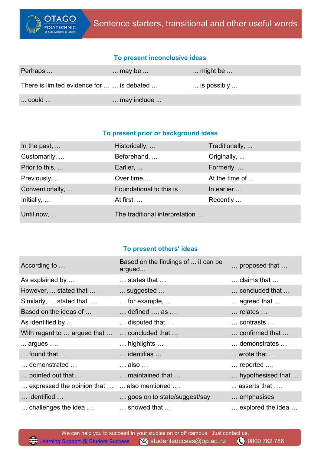

## **To present inconclusive ideas**

| Perhaps                                    | $\dots$ may be $\dots$ | $\ldots$ might be $\ldots$    |
|--------------------------------------------|------------------------|-------------------------------|
| There is limited evidence for   is debated |                        | $\ldots$ is possibly $\ldots$ |
| $\ldots$ could $\ldots$                    | may include            |                               |

## **To present prior or background ideas**

| In the past,        | Historically,                  | Traditionally, |
|---------------------|--------------------------------|----------------|
| Customarily,        | Beforehand,                    | Originally,    |
| Prior to this,      | Earlier,                       | Formerly,      |
| Previously,         | Over time,                     | At the time of |
| Conventionally,     | Foundational to this is        | In earlier     |
| Initially, $\ldots$ | At first,                      | Recently       |
| Until now,          | The traditional interpretation |                |

# **To present others' ideas**

| According to                                | Based on the findings of  it can be<br>argued | proposed that                       |
|---------------------------------------------|-----------------------------------------------|-------------------------------------|
| As explained by                             | $\ldots$ states that $\ldots$                 | $\ldots$ claims that $\ldots$       |
| However,  stated that                       | suggested                                     | concluded that                      |
| Similarly,  stated that                     | $\ldots$ for example, $\ldots$                | $\ldots$ agreed that $\ldots$       |
| Based on the ideas of                       | $\ldots$ defined $\ldots$ as $\ldots$         | $\dots$ relates $\dots$             |
| As identified by                            | disputed that                                 | $\dots$ contrasts $\dots$           |
| With regard to  argued that                 | concluded that                                | confirmed that                      |
| argues                                      | highlights                                    | demonstrates                        |
| $\ldots$ found that $\ldots$                | $\dots$ identifies $\dots$                    | $\ldots$ wrote that $\ldots$        |
| demonstrated                                | $\dots$ also $\dots$                          | $\ldots$ reported $\ldots$          |
| pointed out that                            | maintained that                               | hypothesised that                   |
| expressed the opinion that   also mentioned |                                               | $\dots$ asserts that $\dots$        |
| identified                                  | goes on to state/suggest/say                  | emphasises                          |
| $\ldots$ challenges the idea $\ldots$       | showed that                                   | $\ldots$ explored the idea $\ldots$ |